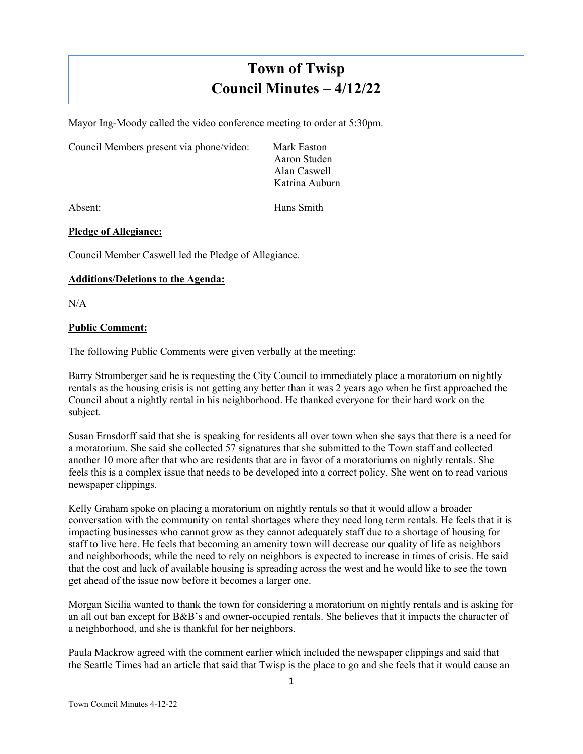# **Town of Twisp Council Minutes – 4/12/22**

Mayor Ing-Moody called the video conference meeting to order at 5:30pm.

Council Members present via phone/video: Mark Easton

Aaron Studen Alan Caswell Katrina Auburn

Absent: Hans Smith

# **Pledge of Allegiance:**

Council Member Caswell led the Pledge of Allegiance.

# **Additions/Deletions to the Agenda:**

N/A

# **Public Comment:**

The following Public Comments were given verbally at the meeting:

Barry Stromberger said he is requesting the City Council to immediately place a moratorium on nightly rentals as the housing crisis is not getting any better than it was 2 years ago when he first approached the Council about a nightly rental in his neighborhood. He thanked everyone for their hard work on the subject.

Susan Ernsdorff said that she is speaking for residents all over town when she says that there is a need for a moratorium. She said she collected 57 signatures that she submitted to the Town staff and collected another 10 more after that who are residents that are in favor of a moratoriums on nightly rentals. She feels this is a complex issue that needs to be developed into a correct policy. She went on to read various newspaper clippings.

Kelly Graham spoke on placing a moratorium on nightly rentals so that it would allow a broader conversation with the community on rental shortages where they need long term rentals. He feels that it is impacting businesses who cannot grow as they cannot adequately staff due to a shortage of housing for staff to live here. He feels that becoming an amenity town will decrease our quality of life as neighbors and neighborhoods; while the need to rely on neighbors is expected to increase in times of crisis. He said that the cost and lack of available housing is spreading across the west and he would like to see the town get ahead of the issue now before it becomes a larger one.

Morgan Sicilia wanted to thank the town for considering a moratorium on nightly rentals and is asking for an all out ban except for B&B's and owner-occupied rentals. She believes that it impacts the character of a neighborhood, and she is thankful for her neighbors.

Paula Mackrow agreed with the comment earlier which included the newspaper clippings and said that the Seattle Times had an article that said that Twisp is the place to go and she feels that it would cause an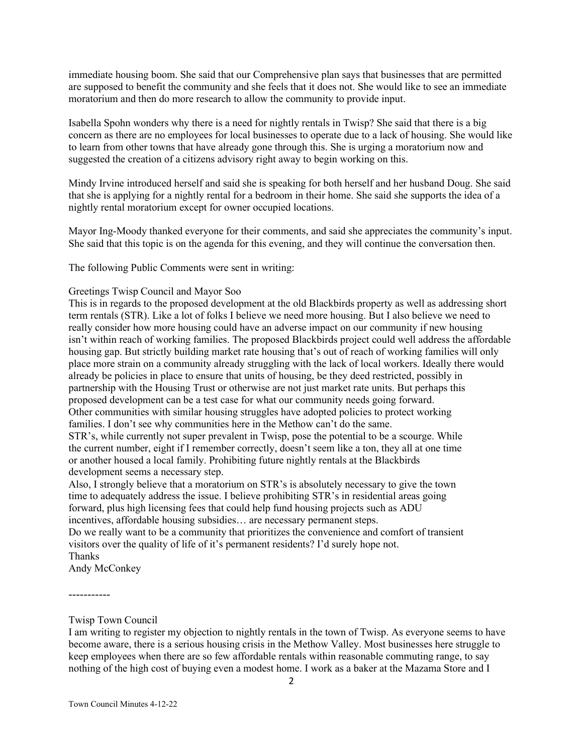immediate housing boom. She said that our Comprehensive plan says that businesses that are permitted are supposed to benefit the community and she feels that it does not. She would like to see an immediate moratorium and then do more research to allow the community to provide input.

Isabella Spohn wonders why there is a need for nightly rentals in Twisp? She said that there is a big concern as there are no employees for local businesses to operate due to a lack of housing. She would like to learn from other towns that have already gone through this. She is urging a moratorium now and suggested the creation of a citizens advisory right away to begin working on this.

Mindy Irvine introduced herself and said she is speaking for both herself and her husband Doug. She said that she is applying for a nightly rental for a bedroom in their home. She said she supports the idea of a nightly rental moratorium except for owner occupied locations.

Mayor Ing-Moody thanked everyone for their comments, and said she appreciates the community's input. She said that this topic is on the agenda for this evening, and they will continue the conversation then.

The following Public Comments were sent in writing:

#### Greetings Twisp Council and Mayor Soo

This is in regards to the proposed development at the old Blackbirds property as well as addressing short term rentals (STR). Like a lot of folks I believe we need more housing. But I also believe we need to really consider how more housing could have an adverse impact on our community if new housing isn't within reach of working families. The proposed Blackbirds project could well address the affordable housing gap. But strictly building market rate housing that's out of reach of working families will only place more strain on a community already struggling with the lack of local workers. Ideally there would already be policies in place to ensure that units of housing, be they deed restricted, possibly in partnership with the Housing Trust or otherwise are not just market rate units. But perhaps this proposed development can be a test case for what our community needs going forward. Other communities with similar housing struggles have adopted policies to protect working families. I don't see why communities here in the Methow can't do the same. STR's, while currently not super prevalent in Twisp, pose the potential to be a scourge. While the current number, eight if I remember correctly, doesn't seem like a ton, they all at one time or another housed a local family. Prohibiting future nightly rentals at the Blackbirds development seems a necessary step.

Also, I strongly believe that a moratorium on STR's is absolutely necessary to give the town time to adequately address the issue. I believe prohibiting STR's in residential areas going forward, plus high licensing fees that could help fund housing projects such as ADU incentives, affordable housing subsidies… are necessary permanent steps. Do we really want to be a community that prioritizes the convenience and comfort of transient visitors over the quality of life of it's permanent residents? I'd surely hope not. Thanks

Andy McConkey

-----------

Twisp Town Council

I am writing to register my objection to nightly rentals in the town of Twisp. As everyone seems to have become aware, there is a serious housing crisis in the Methow Valley. Most businesses here struggle to keep employees when there are so few affordable rentals within reasonable commuting range, to say nothing of the high cost of buying even a modest home. I work as a baker at the Mazama Store and I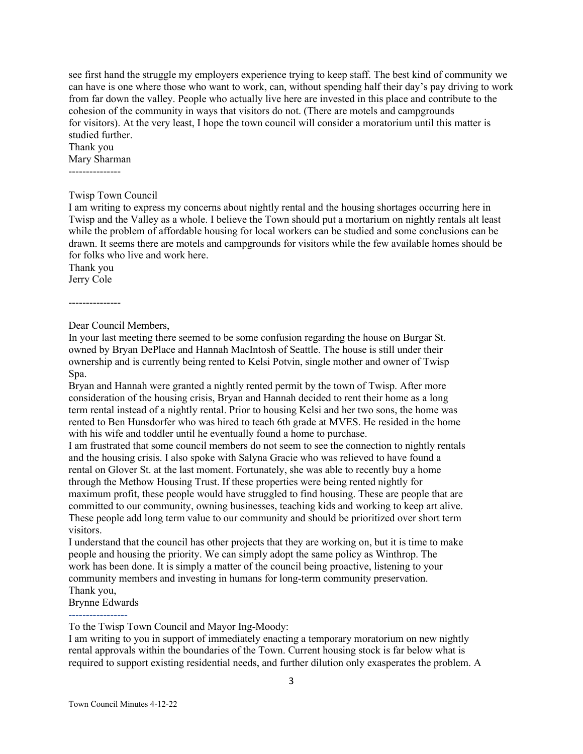see first hand the struggle my employers experience trying to keep staff. The best kind of community we can have is one where those who want to work, can, without spending half their day's pay driving to work from far down the valley. People who actually live here are invested in this place and contribute to the cohesion of the community in ways that visitors do not. (There are motels and campgrounds for visitors). At the very least, I hope the town council will consider a moratorium until this matter is studied further.

Thank you Mary Sharman ---------------

#### Twisp Town Council

I am writing to express my concerns about nightly rental and the housing shortages occurring here in Twisp and the Valley as a whole. I believe the Town should put a mortarium on nightly rentals alt least while the problem of affordable housing for local workers can be studied and some conclusions can be drawn. It seems there are motels and campgrounds for visitors while the few available homes should be for folks who live and work here.

Thank you Jerry Cole

# ---------------

#### Dear Council Members,

In your last meeting there seemed to be some confusion regarding the house on Burgar St. owned by Bryan DePlace and Hannah MacIntosh of Seattle. The house is still under their ownership and is currently being rented to Kelsi Potvin, single mother and owner of Twisp Spa.

Bryan and Hannah were granted a nightly rented permit by the town of Twisp. After more consideration of the housing crisis, Bryan and Hannah decided to rent their home as a long term rental instead of a nightly rental. Prior to housing Kelsi and her two sons, the home was rented to Ben Hunsdorfer who was hired to teach 6th grade at MVES. He resided in the home with his wife and toddler until he eventually found a home to purchase.

I am frustrated that some council members do not seem to see the connection to nightly rentals and the housing crisis. I also spoke with Salyna Gracie who was relieved to have found a rental on Glover St. at the last moment. Fortunately, she was able to recently buy a home through the Methow Housing Trust. If these properties were being rented nightly for maximum profit, these people would have struggled to find housing. These are people that are committed to our community, owning businesses, teaching kids and working to keep art alive. These people add long term value to our community and should be prioritized over short term visitors.

I understand that the council has other projects that they are working on, but it is time to make people and housing the priority. We can simply adopt the same policy as Winthrop. The work has been done. It is simply a matter of the council being proactive, listening to your community members and investing in humans for long-term community preservation. Thank you,

#### Brynne Edwards

-----------------

## To the Twisp Town Council and Mayor Ing-Moody:

I am writing to you in support of immediately enacting a temporary moratorium on new nightly rental approvals within the boundaries of the Town. Current housing stock is far below what is required to support existing residential needs, and further dilution only exasperates the problem. A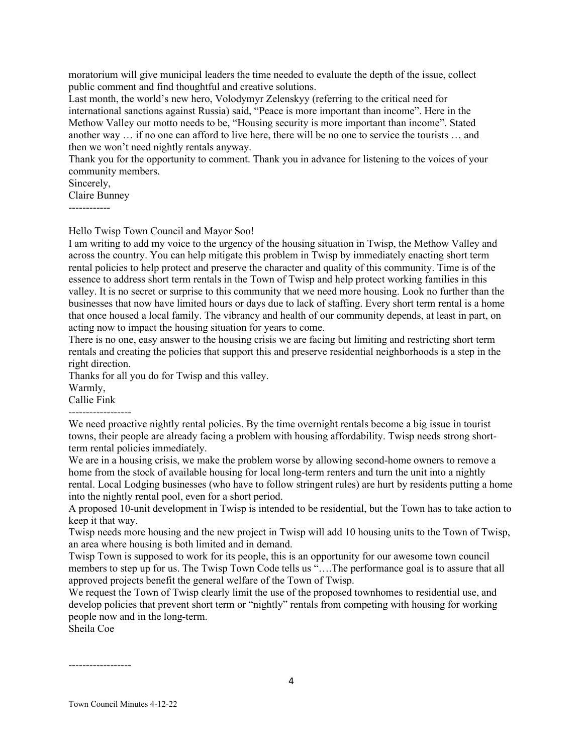moratorium will give municipal leaders the time needed to evaluate the depth of the issue, collect public comment and find thoughtful and creative solutions.

Last month, the world's new hero, Volodymyr Zelenskyy (referring to the critical need for international sanctions against Russia) said, "Peace is more important than income". Here in the Methow Valley our motto needs to be, "Housing security is more important than income". Stated another way … if no one can afford to live here, there will be no one to service the tourists … and then we won't need nightly rentals anyway.

Thank you for the opportunity to comment. Thank you in advance for listening to the voices of your community members.

Sincerely,

Claire Bunney

------------

Hello Twisp Town Council and Mayor Soo!

I am writing to add my voice to the urgency of the housing situation in Twisp, the Methow Valley and across the country. You can help mitigate this problem in Twisp by immediately enacting short term rental policies to help protect and preserve the character and quality of this community. Time is of the essence to address short term rentals in the Town of Twisp and help protect working families in this valley. It is no secret or surprise to this community that we need more housing. Look no further than the businesses that now have limited hours or days due to lack of staffing. Every short term rental is a home that once housed a local family. The vibrancy and health of our community depends, at least in part, on acting now to impact the housing situation for years to come.

There is no one, easy answer to the housing crisis we are facing but limiting and restricting short term rentals and creating the policies that support this and preserve residential neighborhoods is a step in the right direction.

Thanks for all you do for Twisp and this valley.

Warmly,

Callie Fink

------------------

We need proactive nightly rental policies. By the time overnight rentals become a big issue in tourist towns, their people are already facing a problem with housing affordability. Twisp needs strong shortterm rental policies immediately.

We are in a housing crisis, we make the problem worse by allowing second-home owners to remove a home from the stock of available housing for local long-term renters and turn the unit into a nightly rental. Local Lodging businesses (who have to follow stringent rules) are hurt by residents putting a home into the nightly rental pool, even for a short period.

A proposed 10-unit development in Twisp is intended to be residential, but the Town has to take action to keep it that way.

Twisp needs more housing and the new project in Twisp will add 10 housing units to the Town of Twisp, an area where housing is both limited and in demand.

Twisp Town is supposed to work for its people, this is an opportunity for our awesome town council members to step up for us. The Twisp Town Code tells us "….The performance goal is to assure that all approved projects benefit the general welfare of the Town of Twisp.

We request the Town of Twisp clearly limit the use of the proposed townhomes to residential use, and develop policies that prevent short term or "nightly" rentals from competing with housing for working people now and in the long-term.

Sheila Coe

------------------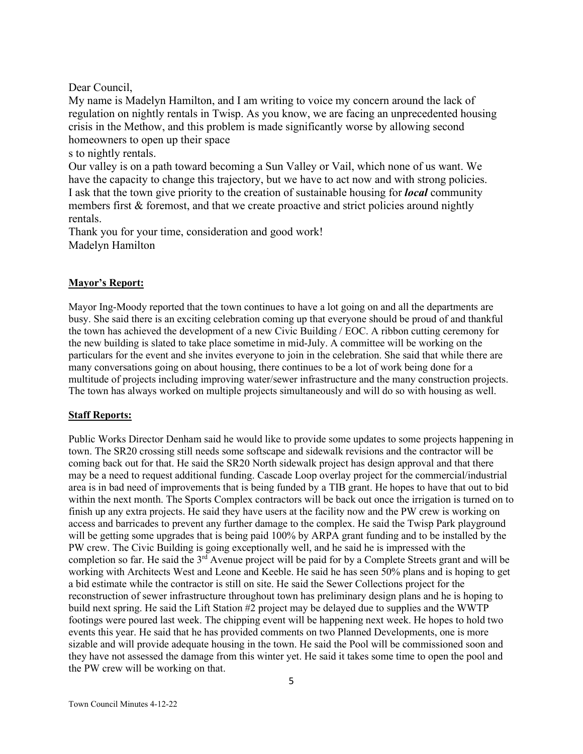Dear Council,

My name is Madelyn Hamilton, and I am writing to voice my concern around the lack of regulation on nightly rentals in Twisp. As you know, we are facing an unprecedented housing crisis in the Methow, and this problem is made significantly worse by allowing second homeowners to open up their space

s to nightly rentals.

Our valley is on a path toward becoming a Sun Valley or Vail, which none of us want. We have the capacity to change this trajectory, but we have to act now and with strong policies. I ask that the town give priority to the creation of sustainable housing for *local* community members first & foremost, and that we create proactive and strict policies around nightly rentals.

Thank you for your time, consideration and good work! Madelyn Hamilton

# **Mayor's Report:**

Mayor Ing-Moody reported that the town continues to have a lot going on and all the departments are busy. She said there is an exciting celebration coming up that everyone should be proud of and thankful the town has achieved the development of a new Civic Building / EOC. A ribbon cutting ceremony for the new building is slated to take place sometime in mid-July. A committee will be working on the particulars for the event and she invites everyone to join in the celebration. She said that while there are many conversations going on about housing, there continues to be a lot of work being done for a multitude of projects including improving water/sewer infrastructure and the many construction projects. The town has always worked on multiple projects simultaneously and will do so with housing as well.

# **Staff Reports:**

Public Works Director Denham said he would like to provide some updates to some projects happening in town. The SR20 crossing still needs some softscape and sidewalk revisions and the contractor will be coming back out for that. He said the SR20 North sidewalk project has design approval and that there may be a need to request additional funding. Cascade Loop overlay project for the commercial/industrial area is in bad need of improvements that is being funded by a TIB grant. He hopes to have that out to bid within the next month. The Sports Complex contractors will be back out once the irrigation is turned on to finish up any extra projects. He said they have users at the facility now and the PW crew is working on access and barricades to prevent any further damage to the complex. He said the Twisp Park playground will be getting some upgrades that is being paid 100% by ARPA grant funding and to be installed by the PW crew. The Civic Building is going exceptionally well, and he said he is impressed with the completion so far. He said the  $3<sup>rd</sup>$  Avenue project will be paid for by a Complete Streets grant and will be working with Architects West and Leone and Keeble. He said he has seen 50% plans and is hoping to get a bid estimate while the contractor is still on site. He said the Sewer Collections project for the reconstruction of sewer infrastructure throughout town has preliminary design plans and he is hoping to build next spring. He said the Lift Station #2 project may be delayed due to supplies and the WWTP footings were poured last week. The chipping event will be happening next week. He hopes to hold two events this year. He said that he has provided comments on two Planned Developments, one is more sizable and will provide adequate housing in the town. He said the Pool will be commissioned soon and they have not assessed the damage from this winter yet. He said it takes some time to open the pool and the PW crew will be working on that.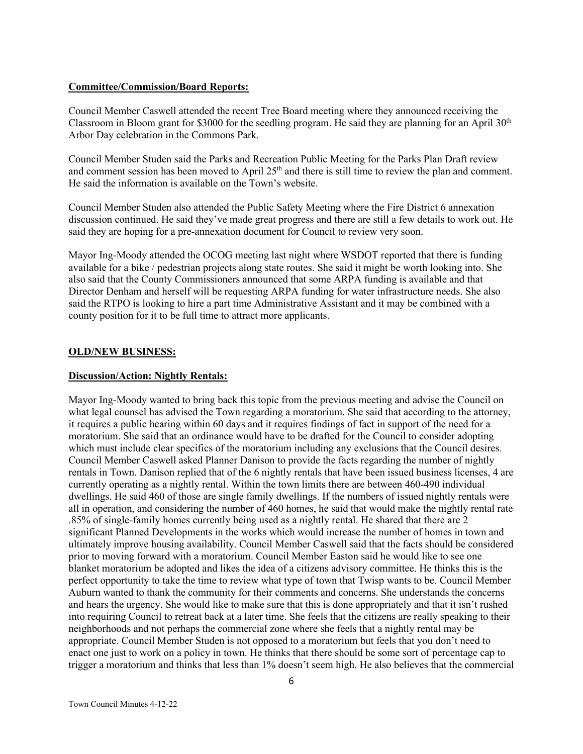# **Committee/Commission/Board Reports:**

Council Member Caswell attended the recent Tree Board meeting where they announced receiving the Classroom in Bloom grant for \$3000 for the seedling program. He said they are planning for an April  $30<sup>th</sup>$ Arbor Day celebration in the Commons Park.

Council Member Studen said the Parks and Recreation Public Meeting for the Parks Plan Draft review and comment session has been moved to April 25<sup>th</sup> and there is still time to review the plan and comment. He said the information is available on the Town's website.

Council Member Studen also attended the Public Safety Meeting where the Fire District 6 annexation discussion continued. He said they've made great progress and there are still a few details to work out. He said they are hoping for a pre-annexation document for Council to review very soon.

Mayor Ing-Moody attended the OCOG meeting last night where WSDOT reported that there is funding available for a bike / pedestrian projects along state routes. She said it might be worth looking into. She also said that the County Commissioners announced that some ARPA funding is available and that Director Denham and herself will be requesting ARPA funding for water infrastructure needs. She also said the RTPO is looking to hire a part time Administrative Assistant and it may be combined with a county position for it to be full time to attract more applicants.

# **OLD/NEW BUSINESS:**

## **Discussion/Action: Nightly Rentals:**

Mayor Ing-Moody wanted to bring back this topic from the previous meeting and advise the Council on what legal counsel has advised the Town regarding a moratorium. She said that according to the attorney, it requires a public hearing within 60 days and it requires findings of fact in support of the need for a moratorium. She said that an ordinance would have to be drafted for the Council to consider adopting which must include clear specifics of the moratorium including any exclusions that the Council desires. Council Member Caswell asked Planner Danison to provide the facts regarding the number of nightly rentals in Town. Danison replied that of the 6 nightly rentals that have been issued business licenses, 4 are currently operating as a nightly rental. Within the town limits there are between 460-490 individual dwellings. He said 460 of those are single family dwellings. If the numbers of issued nightly rentals were all in operation, and considering the number of 460 homes, he said that would make the nightly rental rate .85% of single-family homes currently being used as a nightly rental. He shared that there are 2 significant Planned Developments in the works which would increase the number of homes in town and ultimately improve housing availability. Council Member Caswell said that the facts should be considered prior to moving forward with a moratorium. Council Member Easton said he would like to see one blanket moratorium be adopted and likes the idea of a citizens advisory committee. He thinks this is the perfect opportunity to take the time to review what type of town that Twisp wants to be. Council Member Auburn wanted to thank the community for their comments and concerns. She understands the concerns and hears the urgency. She would like to make sure that this is done appropriately and that it isn't rushed into requiring Council to retreat back at a later time. She feels that the citizens are really speaking to their neighborhoods and not perhaps the commercial zone where she feels that a nightly rental may be appropriate. Council Member Studen is not opposed to a moratorium but feels that you don't need to enact one just to work on a policy in town. He thinks that there should be some sort of percentage cap to trigger a moratorium and thinks that less than 1% doesn't seem high. He also believes that the commercial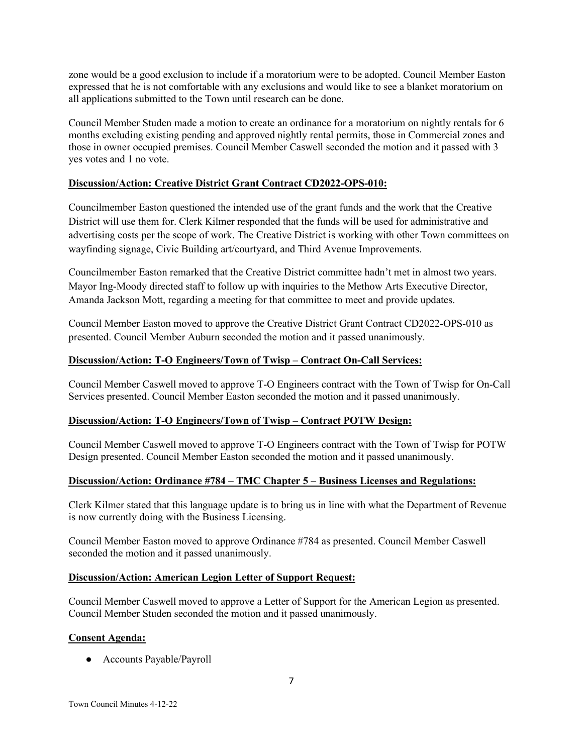zone would be a good exclusion to include if a moratorium were to be adopted. Council Member Easton expressed that he is not comfortable with any exclusions and would like to see a blanket moratorium on all applications submitted to the Town until research can be done.

Council Member Studen made a motion to create an ordinance for a moratorium on nightly rentals for 6 months excluding existing pending and approved nightly rental permits, those in Commercial zones and those in owner occupied premises. Council Member Caswell seconded the motion and it passed with 3 yes votes and 1 no vote.

# **Discussion/Action: Creative District Grant Contract CD2022-OPS-010:**

Councilmember Easton questioned the intended use of the grant funds and the work that the Creative District will use them for. Clerk Kilmer responded that the funds will be used for administrative and advertising costs per the scope of work. The Creative District is working with other Town committees on wayfinding signage, Civic Building art/courtyard, and Third Avenue Improvements.

Councilmember Easton remarked that the Creative District committee hadn't met in almost two years. Mayor Ing-Moody directed staff to follow up with inquiries to the Methow Arts Executive Director, Amanda Jackson Mott, regarding a meeting for that committee to meet and provide updates.

Council Member Easton moved to approve the Creative District Grant Contract CD2022-OPS-010 as presented. Council Member Auburn seconded the motion and it passed unanimously.

# **Discussion/Action: T-O Engineers/Town of Twisp – Contract On-Call Services:**

Council Member Caswell moved to approve T-O Engineers contract with the Town of Twisp for On-Call Services presented. Council Member Easton seconded the motion and it passed unanimously.

# **Discussion/Action: T-O Engineers/Town of Twisp – Contract POTW Design:**

Council Member Caswell moved to approve T-O Engineers contract with the Town of Twisp for POTW Design presented. Council Member Easton seconded the motion and it passed unanimously.

## **Discussion/Action: Ordinance #784 – TMC Chapter 5 – Business Licenses and Regulations:**

Clerk Kilmer stated that this language update is to bring us in line with what the Department of Revenue is now currently doing with the Business Licensing.

Council Member Easton moved to approve Ordinance #784 as presented. Council Member Caswell seconded the motion and it passed unanimously.

## **Discussion/Action: American Legion Letter of Support Request:**

Council Member Caswell moved to approve a Letter of Support for the American Legion as presented. Council Member Studen seconded the motion and it passed unanimously.

## **Consent Agenda:**

● Accounts Payable/Payroll